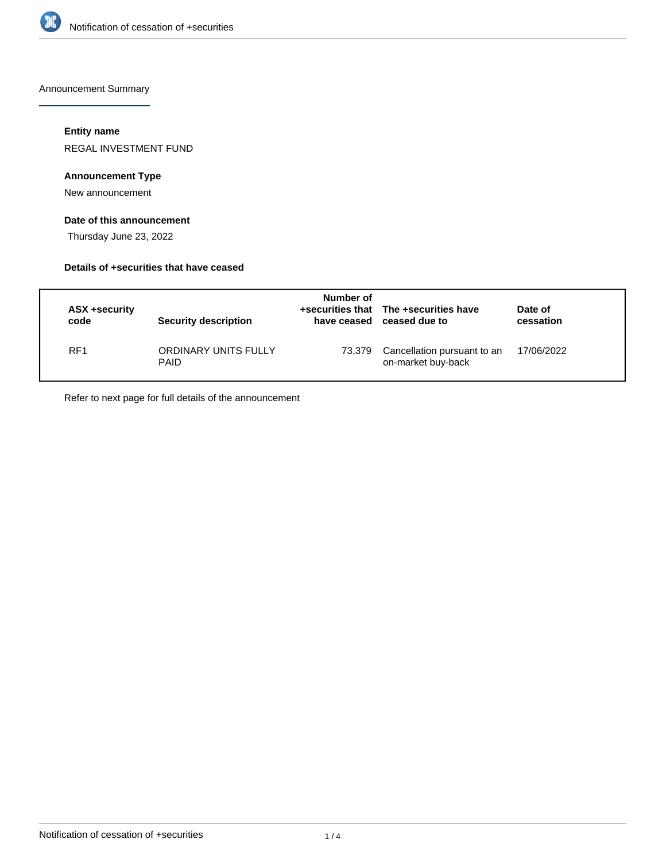

Announcement Summary

### **Entity name**

REGAL INVESTMENT FUND

### **Announcement Type**

New announcement

### **Date of this announcement**

Thursday June 23, 2022

### **Details of +securities that have ceased**

| ASX +security<br>code | Security description                | Number of<br>have ceased | +securities that The +securities have<br>ceased due to | Date of<br>cessation |
|-----------------------|-------------------------------------|--------------------------|--------------------------------------------------------|----------------------|
| RF <sub>1</sub>       | ORDINARY UNITS FULLY<br><b>PAID</b> | 73.379                   | Cancellation pursuant to an<br>on-market buy-back      | 17/06/2022           |

Refer to next page for full details of the announcement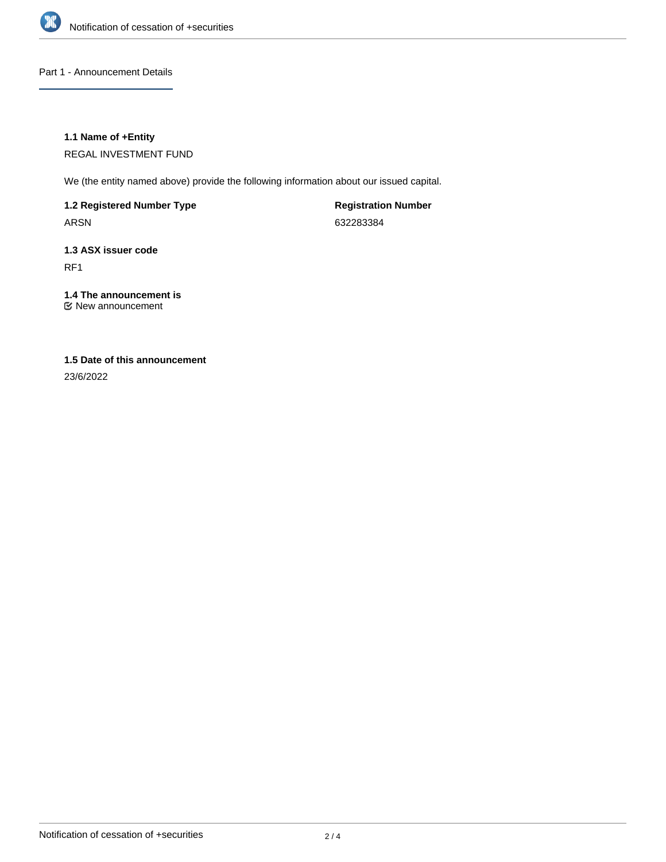

Part 1 - Announcement Details

### **1.1 Name of +Entity**

REGAL INVESTMENT FUND

We (the entity named above) provide the following information about our issued capital.

**1.2 Registered Number Type**

ARSN

**Registration Number** 632283384

## **1.3 ASX issuer code** RF1

# **1.4 The announcement is**

New announcement

## **1.5 Date of this announcement**

23/6/2022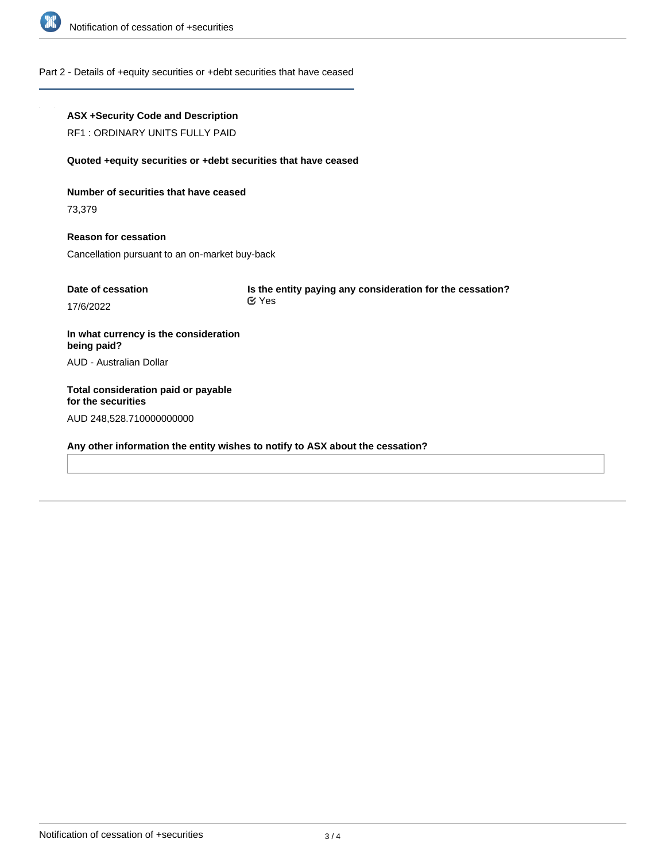

### Part 2 - Details of +equity securities or +debt securities that have ceased

### **ASX +Security Code and Description**

RF1 : ORDINARY UNITS FULLY PAID

#### **Quoted +equity securities or +debt securities that have ceased**

**Number of securities that have ceased**

73,379

**Reason for cessation** Cancellation pursuant to an on-market buy-back

| Date of cessation | Is the entity paying any consideration for the cessation? |
|-------------------|-----------------------------------------------------------|
| 17/6/2022         | ビ Yes                                                     |

**In what currency is the consideration being paid?** AUD - Australian Dollar

**Total consideration paid or payable for the securities** AUD 248,528.710000000000

**Any other information the entity wishes to notify to ASX about the cessation?**